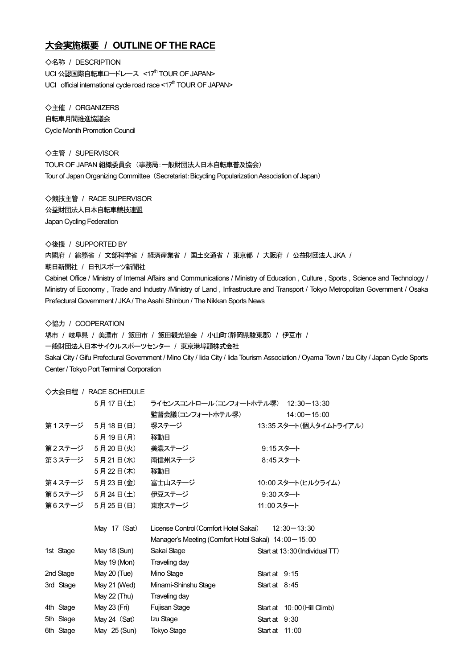## 大会実施概要 **/ OUTLINE OF THE RACE**

◇名称 / DESCRIPTION UCI 公認国際自転車ロードレース <17th TOUR OF JAPAN> UCI official international cycle road race  $\leq 17<sup>th</sup>$  TOUR OF JAPAN>

◇主催 / ORGANIZERS 自転車月間推進協議会 Cycle Month Promotion Council

◇主管 / SUPERVISOR TOUR OF JAPAN 組織委員会 (事務局:一般財団法人日本自転車普及協会) Tour of Japan Organizing Committee (Secretariat: Bicycling Popularization Association of Japan)

◇競技主管 / RACE SUPERVISOR 公益財団法人日本自転車競技連盟 Japan Cycling Federation

◇後援 / SUPPORTED BY

内閣府 / 総務省 / 文部科学省 / 経済産業省 / 国土交通省 / 東京都 / 大阪府 / 公益財団法人JKA / 朝日新聞社 / 日刊スポーツ新聞社

Cabinet Office / Ministry of Internal Affairs and Communications / Ministry of Education , Culture , Sports , Science and Technology / Ministry of Economy , Trade and Industry /Ministry of Land , Infrastructure and Transport / Tokyo Metropolitan Government / Osaka Prefectural Government / JKA / The Asahi Shinbun / The Nikkan Sports News

◇協力 / COOPERATION

堺市 / 岐阜県 / 美濃市 / 飯田市 / 飯田観光協会 / 小山町(静岡県駿東郡) / 伊豆市 / 一般財団法人日本サイクルスポーツセンター / 東京港埠頭株式会社 Sakai City / Gifu Prefectural Government / Mino City / Iida City / Iida Tourism Association / Oyama Town / Izu City / Japan Cycle Sports Center / Tokyo Port Terminal Corporation

## ◇大会日程 / RACE SCHEDULE

| 5月17日(土)           |                                                          |                     | $12:30 - 13:30$                                                                  |
|--------------------|----------------------------------------------------------|---------------------|----------------------------------------------------------------------------------|
|                    | 監督会議(コンフォートホテル堺)                                         |                     | $14:00 - 15:00$                                                                  |
| 第1ステージ 5月18日(日)    | 堺ステージ                                                    |                     | 13:35 スタート(個人タイムトライアル)                                                           |
| 5月19日(月)           | 移動日                                                      |                     |                                                                                  |
| 第2ステージ<br>5月20日(火) | 美濃ステージ                                                   | 9:15スタート            |                                                                                  |
| 第3ステージ<br>5月21日(水) | 南信州ステージ                                                  | 8:45 スタート           |                                                                                  |
| 5月22日(木)           | 移動日                                                      |                     |                                                                                  |
| 第4ステージ<br>5月23日(金) | 富士山ステージ                                                  |                     | 10:00 スタート(ヒルクライム)                                                               |
| 第5ステージ<br>5月24日(土) | 伊豆ステージ                                                   | $9:30 \times 9$ - N |                                                                                  |
| 第6ステージ<br>5月25日(日) | 東京ステージ                                                   | 11:00 スタート          |                                                                                  |
|                    |                                                          |                     |                                                                                  |
| May 17 (Sat)       | License Control (Comfort Hotel Sakai)<br>$12:30 - 13:30$ |                     |                                                                                  |
|                    |                                                          |                     |                                                                                  |
| May 18 (Sun)       | Sakai Stage                                              |                     | Start at 13:30 (Individual TT)                                                   |
| May 19 (Mon)       | Traveling day                                            |                     |                                                                                  |
| May 20 (Tue)       | Mino Stage                                               | Start at $9:15$     |                                                                                  |
| May 21 (Wed)       | Minami-Shinshu Stage                                     | Start at $8:45$     |                                                                                  |
|                    |                                                          |                     |                                                                                  |
| May 22 (Thu)       | Traveling day                                            |                     |                                                                                  |
| May 23 (Fri)       | Fujisan Stage                                            |                     | Start at 10:00 (Hill Climb)                                                      |
| May 24 (Sat)       | Izu Stage                                                | Start at $9:30$     |                                                                                  |
|                    |                                                          |                     | ライセンスコントロール(コンフォートホテル堺)<br>Manager's Meeting (Comfort Hotel Sakai) 14:00 - 15:00 |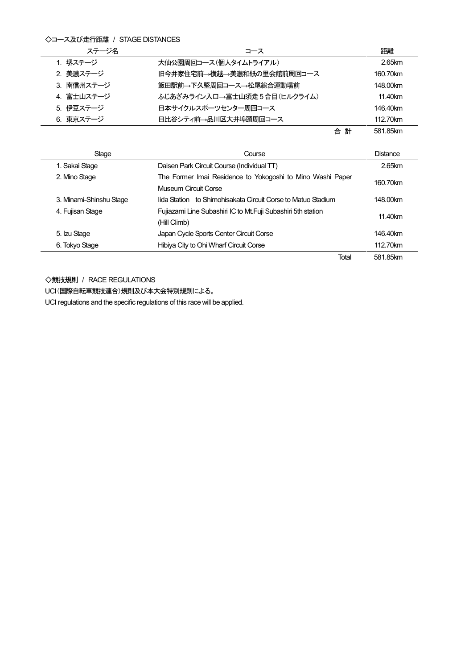## ◇コース及び走行距離 / STAGE DISTANCES

| ステージ名      | コース                         |        | 距離       |
|------------|-----------------------------|--------|----------|
| 1. 堺ステージ   | 大仙公園周回コース(個人タイムトライアル)       |        | 2.65km   |
| 2. 美濃ステージ  | 旧今井家住宅前→横越→美濃和紙の里会館前周回コース   |        | 160.70km |
| 3. 南信州ステージ | 飯田駅前→下久堅周回コース→松尾総合運動場前      |        | 148.00km |
| 4. 富士山ステージ | ふじあざみライン入口→富士山須走5合目(ヒルクライム) |        | 11.40km  |
| 5. 伊豆ステージ  | 日本サイクルスポーツセンター周回コース         |        | 146.40km |
| 6. 東京ステージ  | 日比谷シティ前→品川区大井埠頭周回コース        |        | 112.70km |
|            |                             | 合<br>計 | 581.85km |

Stage Distance Course Course Course Course Distance 1. Sakai Stage Daisen Park Circuit Course (Individual TT) 2.65km 2. Mino Stage The Former Imai Residence to Yokogoshi to Mino Washi Paper Museum Circuit Corse 160.70km 3. Minami-Shinshu Stage Iida Station to Shimohisakata Circuit Corse to Matuo Stadium 148.00km 4. Fujisan Stage **Fujiazami Line Subashiri IC to Mt.Fuji Subashiri 5th station** (Hill Climb) 11.40km 5. Izu Stage Japan Cycle Sports Center Circuit Corse 146.40km 6. Tokyo Stage **Hibiya City to Ohi Wharf Circuit Corse** 112.70km Total 581.85km

◇競技規則 / RACE REGULATIONS

UCI(国際自転車競技連合)規則及び本大会特別規則による。

UCI regulations and the specific regulations of this race will be applied.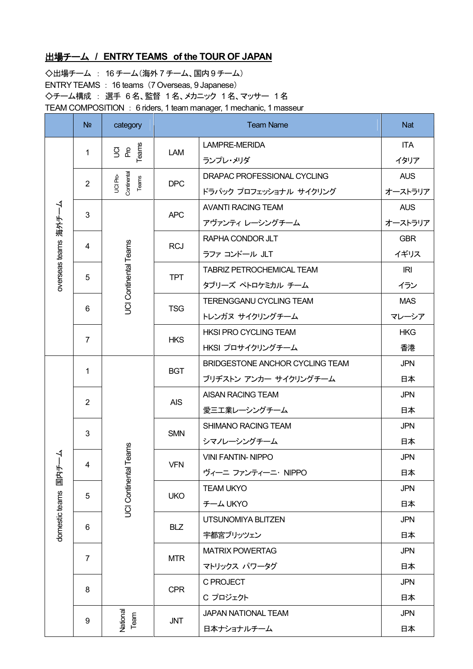## 出場チーム **/ ENTRY TEAMS of the TOUR OF JAPAN**

◇出場チーム : 16 チーム(海外 7 チーム、国内9 チーム) ENTRY TEAMS : 16 teams (7 Overseas, 9 Japanese) ◇チーム構成 : 選手 6名、監督 1名、メカニック 1名、マッサー 1名 TEAM COMPOSITION : 6 riders, 1 team manager, 1 mechanic, 1 masseur

|                             | N <sub>2</sub>            | category                         | <b>Team Name</b>                |                                  | <b>Nat</b> |
|-----------------------------|---------------------------|----------------------------------|---------------------------------|----------------------------------|------------|
| overseas teams 海外チーム        | 1                         | Teams<br>g g                     | LAM                             | LAMPRE-MERIDA                    | <b>ITA</b> |
|                             |                           |                                  |                                 | ランプレ・メリダ                         | イタリア       |
|                             |                           |                                  | <b>DPC</b>                      | DRAPAC PROFESSIONAL CYCLING      | <b>AUS</b> |
|                             | $\overline{2}$            | Continental<br>UCI Pro-<br>Teams |                                 | ドラパック プロフェッショナル サイクリング           | オーストラリア    |
|                             | 3                         |                                  | <b>APC</b>                      | <b>AVANTI RACING TEAM</b>        | <b>AUS</b> |
|                             |                           | JCI Continental Teams            |                                 | アヴァンティ レーシングチーム                  | オーストラリア    |
|                             | 4                         |                                  | <b>RCJ</b>                      | RAPHA CONDOR JLT                 | <b>GBR</b> |
|                             |                           |                                  |                                 | ラファ コンドール JLT                    | イギリス       |
|                             | 5                         |                                  | <b>TPT</b>                      | <b>TABRIZ PETROCHEMICAL TEAM</b> | IRI        |
|                             |                           |                                  |                                 | タブリーズ ペトロケミカル チーム                | イラン        |
|                             | 6                         |                                  | <b>TSG</b>                      | TERENGGANU CYCLING TEAM          | <b>MAS</b> |
|                             |                           |                                  |                                 | トレンガヌ サイクリングチーム                  | マレーシア      |
|                             | $\overline{7}$            |                                  | <b>HKS</b>                      | <b>HKSI PRO CYCLING TEAM</b>     | <b>HKG</b> |
|                             |                           |                                  |                                 | HKSI プロサイクリングチーム                 | 香港         |
|                             | 1                         | <b>BGT</b>                       | BRIDGESTONE ANCHOR CYCLING TEAM | <b>JPN</b>                       |            |
|                             |                           |                                  |                                 | ブリヂストン アンカー サイクリングチーム            | 日本         |
|                             | $\overline{2}$            |                                  | <b>AIS</b>                      | AISAN RACING TEAM                | <b>JPN</b> |
|                             |                           |                                  |                                 | 愛三工業レーシングチーム                     | 日本         |
|                             | 3                         | <b>SMN</b>                       | SHIMANO RACING TEAM             | <b>JPN</b>                       |            |
| ŗ<br>国内チ-<br>domestic teams |                           |                                  |                                 | シマノレーシングチーム                      | 日本         |
|                             | tal Teams<br>4            | <b>VFN</b>                       | <b>VINI FANTIN-NIPPO</b>        | <b>JPN</b>                       |            |
|                             |                           |                                  | ヴィーニ ファンティーニ・NIPPO              | 日本                               |            |
|                             | <b>UCI Continent</b><br>5 | <b>UKO</b>                       | <b>TEAM UKYO</b>                | <b>JPN</b>                       |            |
|                             |                           |                                  |                                 | チーム UKYO                         | 日本         |
|                             | 6                         |                                  | <b>BLZ</b>                      | UTSUNOMIYA BLITZEN               | <b>JPN</b> |
|                             |                           |                                  |                                 | 宇都宮ブリッツェン                        | 日本         |
|                             | $\overline{7}$            |                                  | <b>MTR</b>                      | <b>MATRIX POWERTAG</b>           | <b>JPN</b> |
|                             |                           |                                  |                                 | マトリックス パワータグ                     | 日本         |
|                             | 8                         |                                  | <b>CPR</b>                      | C PROJECT                        | <b>JPN</b> |
|                             |                           |                                  |                                 | C プロジェクト                         | 日本         |
|                             | 9                         | National<br>Team                 | <b>JNT</b>                      | <b>JAPAN NATIONAL TEAM</b>       | <b>JPN</b> |
|                             |                           |                                  |                                 | 日本ナショナルチーム                       | 日本         |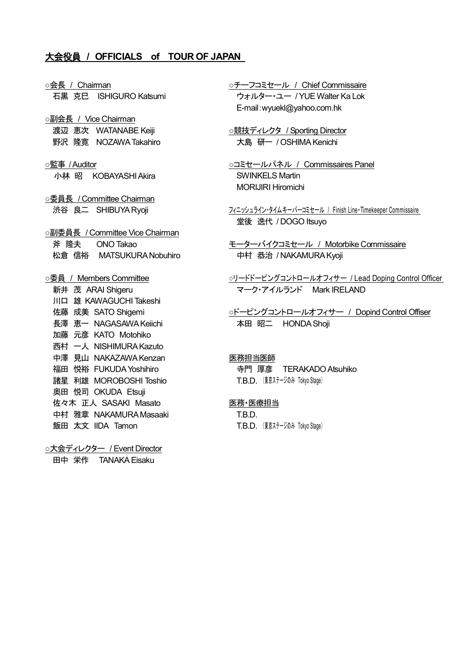## 大会役員 **/ OFFICIALS of TOUR OF JAPAN**

○会長 / Chairman

石黒 克巳 ISHIGURO Katsumi ○副会長 / Vice Chairman 渡辺 恵次 WATANABE Keiji 野沢 隆寛 NOZAWA Takahiro ○監事 / Auditor 小林 昭 KOBAYASHI Akira ○委員長 / Committee Chairman 渋谷 良二 SHIBUYA Ryoji ○副委員長 / Committee Vice Chairman 斧 隆夫 ONO Takao 松倉 信裕 MATSUKURA Nobuhiro ○委員 / Members Committee 新井 茂 ARAI Shigeru 川口 雄 KAWAGUCHI Takeshi 佐藤 成美 SATO Shigemi 長澤 恵一 NAGASAWA Keiichi 加藤 元彦 KATO Motohiko 西村 一人 NISHIMURA Kazuto 中澤 見山 NAKAZAWA Kenzan 福田 悦裕 FUKUDA Yoshihiro 諸星 利雄 MOROBOSHI Toshio 奥田 悦司 OKUDA Etsuji 佐々木 正人 SASAKI Masato 中村 雅章 NAKAMURA Masaaki 飯田 太文 IIDA Tamon ○大会ディレクター / Event Director

田中 栄作 TANAKA Eisaku

○チーフコミセール / Chief Commissaire ウォルター・ユー / YUE Walter Ka Lok E-mail:wyuekl@yahoo.com.hk

○競技ディレクタ / Sporting Director 大島 研一 / OSHIMA Kenichi

○コミセールパネル / Commissaires Panel SWINKELS Martin MORIJIRI Hiromichi

フィニッシュライン・タイムキーパーコミセール / Finish Line・Timekeeper Commissaire 堂後 逸代 / DOGO Itsuyo

モーターバイクコミセール / Motorbike Commissaire 中村 恭治 / NAKAMURA Kyoji

○リードドーピングコントロールオフィサー / Lead Doping Control Officer マーク・アイルランド Mark IRELAND

○ドーピングコントロールオフィサー / Dopind Control Offiser 本田 昭二 HONDA Shoji

## 医務担当医師

寺門 厚彦 TERAKADO Atsuhiko T.B.D. (東京ステージのみ Tokyo Stage)

#### 医務・医療担当

T.B.D. T.B.D. (東京ステージのみ Tokyo Stage)